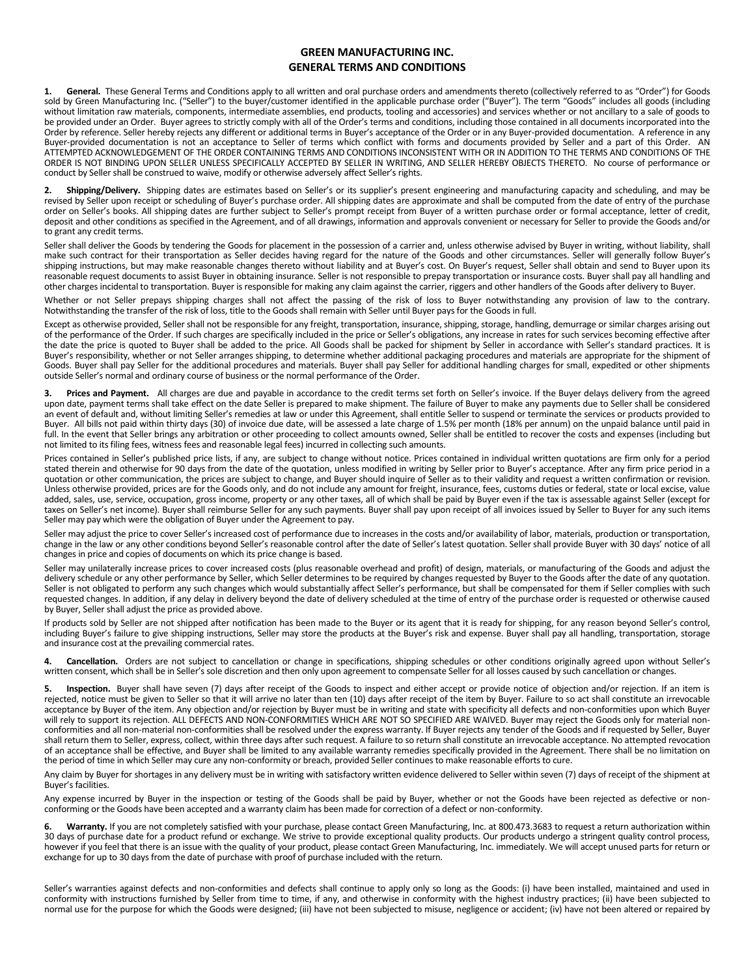## **GREEN MANUFACTURING INC. GENERAL TERMS AND CONDITIONS**

**1. General.** These General Terms and Conditions apply to all written and oral purchase orders and amendments thereto (collectively referred to as "Order") for Goods sold by Green Manufacturing Inc. ("Seller") to the buyer/customer identified in the applicable purchase order ("Buyer"). The term "Goods" includes all goods (including without limitation raw materials, components, intermediate assemblies, end products, tooling and accessories) and services whether or not ancillary to a sale of goods to be provided under an Order. Buyer agrees to strictly comply with all of the Order's terms and conditions, including those contained in all documents incorporated into the Order by reference. Seller hereby rejects any different or additional terms in Buyer's acceptance of the Order or in any Buyer-provided documentation. A reference in any Buyer-provided documentation is not an acceptance to Seller of terms which conflict with forms and documents provided by Seller and a part of this Order. AN ATTEMPTED ACKNOWLEDGEMENT OF THE ORDER CONTAINING TERMS AND CONDITIONS INCONSISTENT WITH OR IN ADDITION TO THE TERMS AND CONDITIONS OF THE ORDER IS NOT BINDING UPON SELLER UNLESS SPECIFICALLY ACCEPTED BY SELLER IN WRITING, AND SELLER HEREBY OBJECTS THERETO. No course of performance or conduct by Seller shall be construed to waive, modify or otherwise adversely affect Seller's rights.

**2. Shipping/Delivery.** Shipping dates are estimates based on Seller's or its supplier's present engineering and manufacturing capacity and scheduling, and may be revised by Seller upon receipt or scheduling of Buyer's purchase order. All shipping dates are approximate and shall be computed from the date of entry of the purchase order on Seller's books. All shipping dates are further subject to Seller's prompt receipt from Buyer of a written purchase order or formal acceptance, letter of credit, deposit and other conditions as specified in the Agreement, and of all drawings, information and approvals convenient or necessary for Seller to provide the Goods and/or to grant any credit terms.

Seller shall deliver the Goods by tendering the Goods for placement in the possession of a carrier and, unless otherwise advised by Buyer in writing, without liability, shall make such contract for their transportation as Seller decides having regard for the nature of the Goods and other circumstances. Seller will generally follow Buyer's shipping instructions, but may make reasonable changes thereto without liability and at Buyer's cost. On Buyer's request, Seller shall obtain and send to Buyer upon its reasonable request documents to assist Buyer in obtaining insurance. Seller is not responsible to prepay transportation or insurance costs. Buyer shall pay all handling and other charges incidental to transportation. Buyer is responsible for making any claim against the carrier, riggers and other handlers of the Goods after delivery to Buyer.

Whether or not Seller prepays shipping charges shall not affect the passing of the risk of loss to Buyer notwithstanding any provision of law to the contrary. Notwithstanding the transfer of the risk of loss, title to the Goods shall remain with Seller until Buyer pays for the Goods in full.

Except as otherwise provided, Seller shall not be responsible for any freight, transportation, insurance, shipping, storage, handling, demurrage or similar charges arising out of the performance of the Order. If such charges are specifically included in the price or Seller's obligations, any increase in rates for such services becoming effective after the date the price is quoted to Buyer shall be added to the price. All Goods shall be packed for shipment by Seller in accordance with Seller's standard practices. It is Buyer's responsibility, whether or not Seller arranges shipping, to determine whether additional packaging procedures and materials are appropriate for the shipment of Goods. Buyer shall pay Seller for the additional procedures and materials. Buyer shall pay Seller for additional handling charges for small, expedited or other shipments outside Seller's normal and ordinary course of business or the normal performance of the Order.

Prices and Payment. All charges are due and payable in accordance to the credit terms set forth on Seller's invoice. If the Buyer delays delivery from the agreed upon date, payment terms shall take effect on the date Seller is prepared to make shipment. The failure of Buyer to make any payments due to Seller shall be considered an event of default and, without limiting Seller's remedies at law or under this Agreement, shall entitle Seller to suspend or terminate the services or products provided to Buyer.All bills not paid within thirty days (30) of invoice due date, will be assessed a late charge of 1.5% per month (18% per annum) on the unpaid balance until paid in full. In the event that Seller brings any arbitration or other proceeding to collect amounts owned, Seller shall be entitled to recover the costs and expenses (including but not limited to its filing fees, witness fees and reasonable legal fees) incurred in collecting such amounts.

Prices contained in Seller's published price lists, if any, are subject to change without notice. Prices contained in individual written quotations are firm only for a period stated therein and otherwise for 90 days from the date of the quotation, unless modified in writing by Seller prior to Buyer's acceptance. After any firm price period in a quotation or other communication, the prices are subject to change, and Buyer should inquire of Seller as to their validity and request a written confirmation or revision. Unless otherwise provided, prices are for the Goods only, and do not include any amount for freight, insurance, fees, customs duties or federal, state or local excise, value added, sales, use, service, occupation, gross income, property or any other taxes, all of which shall be paid by Buyer even if the tax is assessable against Seller (except for taxes on Seller's net income). Buyer shall reimburse Seller for any such payments. Buyer shall pay upon receipt of all invoices issued by Seller to Buyer for any such items Seller may pay which were the obligation of Buyer under the Agreement to pay.

Seller may adjust the price to cover Seller's increased cost of performance due to increases in the costs and/or availability of labor, materials, production or transportation, change in the law or any other conditions beyond Seller's reasonable control after the date of Seller's latest quotation. Seller shall provide Buyer with 30 days' notice of all changes in price and copies of documents on which its price change is based.

Seller may unilaterally increase prices to cover increased costs (plus reasonable overhead and profit) of design, materials, or manufacturing of the Goods and adjust the delivery schedule or any other performance by Seller, which Seller determines to be required by changes requested by Buyer to the Goods after the date of any quotation. Seller is not obligated to perform any such changes which would substantially affect Seller's performance, but shall be compensated for them if Seller complies with such requested changes. In addition, if any delay in delivery beyond the date of delivery scheduled at the time of entry of the purchase order is requested or otherwise caused by Buyer, Seller shall adjust the price as provided above.

If products sold by Seller are not shipped after notification has been made to the Buyer or its agent that it is ready for shipping, for any reason beyond Seller's control, including Buyer's failure to give shipping instructions, Seller may store the products at the Buyer's risk and expense. Buyer shall pay all handling, transportation, storage and insurance cost at the prevailing commercial rates.

**4. Cancellation.** Orders are not subject to cancellation or change in specifications, shipping schedules or other conditions originally agreed upon without Seller's written consent, which shall be in Seller's sole discretion and then only upon agreement to compensate Seller for all losses caused by such cancellation or changes.

**5. Inspection.** Buyer shall have seven (7) days after receipt of the Goods to inspect and either accept or provide notice of objection and/or rejection. If an item is rejected, notice must be given to Seller so that it will arrive no later than ten (10) days after receipt of the item by Buyer. Failure to so act shall constitute an irrevocable acceptance by Buyer of the item. Any objection and/or rejection by Buyer must be in writing and state with specificity all defects and non-conformities upon which Buyer will rely to support its rejection. ALL DEFECTS AND NON-CONFORMITIES WHICH ARE NOT SO SPECIFIED ARE WAIVED. Buyer may reject the Goods only for material nonconformities and all non-material non-conformities shall be resolved under the express warranty. If Buyer rejects any tender of the Goods and if requested by Seller, Buyer shall return them to Seller, express, collect, within three days after such request. A failure to so return shall constitute an irrevocable acceptance. No attempted revocation of an acceptance shall be effective, and Buyer shall be limited to any available warranty remedies specifically provided in the Agreement. There shall be no limitation on the period of time in which Seller may cure any non-conformity or breach, provided Seller continues to make reasonable efforts to cure.

Any claim by Buyer for shortages in any delivery must be in writing with satisfactory written evidence delivered to Seller within seven (7) days of receipt of the shipment at Buyer's facilities.

Any expense incurred by Buyer in the inspection or testing of the Goods shall be paid by Buyer, whether or not the Goods have been rejected as defective or nonconforming or the Goods have been accepted and a warranty claim has been made for correction of a defect or non-conformity.

6. Warranty. If you are not completely satisfied with your purchase, please contact Green Manufacturing, Inc. at 800.473.3683 to request a return authorization within 30 days of purchase date for a product refund or exchange. We strive to provide exceptional quality products. Our products undergo a stringent quality control process, however if you feel that there is an issue with the quality of your product, please contact Green Manufacturing, Inc. immediately. We will accept unused parts for return or exchange for up to 30 days from the date of purchase with proof of purchase included with the return.

Seller's warranties against defects and non-conformities and defects shall continue to apply only so long as the Goods: (i) have been installed, maintained and used in conformity with instructions furnished by Seller from time to time, if any, and otherwise in conformity with the highest industry practices; (ii) have been subjected to normal use for the purpose for which the Goods were designed; (iii) have not been subjected to misuse, negligence or accident; (iv) have not been altered or repaired by